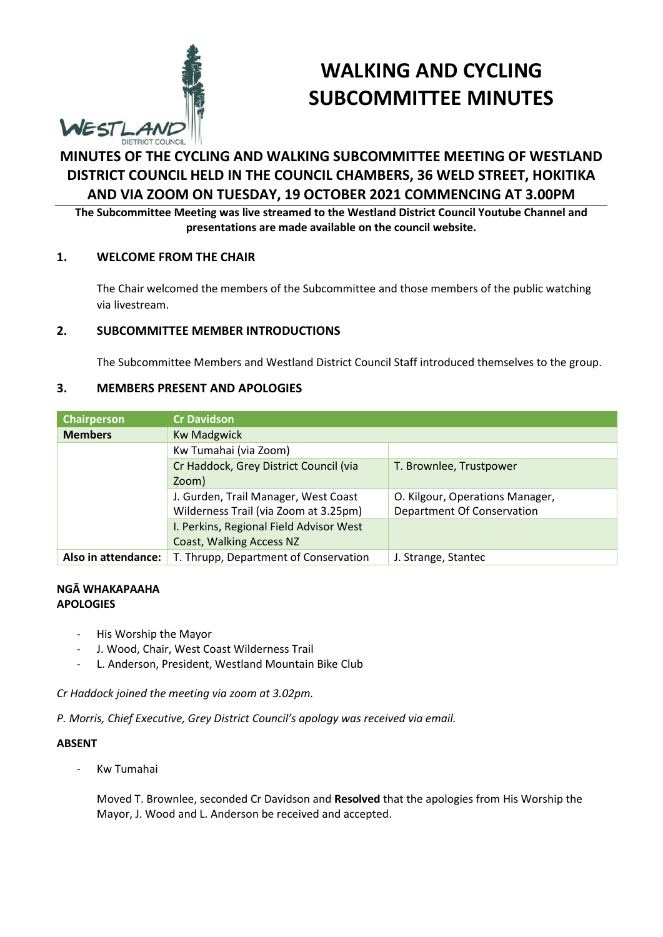

# **WALKING AND CYCLING SUBCOMMITTEE MINUTES**

# **MINUTES OF THE CYCLING AND WALKING SUBCOMMITTEE MEETING OF WESTLAND DISTRICT COUNCIL HELD IN THE COUNCIL CHAMBERS, 36 WELD STREET, HOKITIKA AND VIA ZOOM ON TUESDAY, 19 OCTOBER 2021 COMMENCING AT 3.00PM**

**The Subcommittee Meeting was live streamed to the Westland District Council Youtube Channel and presentations are made available on the council website.** 

# **1. WELCOME FROM THE CHAIR**

The Chair welcomed the members of the Subcommittee and those members of the public watching via livestream.

# **2. SUBCOMMITTEE MEMBER INTRODUCTIONS**

The Subcommittee Members and Westland District Council Staff introduced themselves to the group.

# **3. MEMBERS PRESENT AND APOLOGIES**

| Chairperson         | <b>Cr Davidson</b>                      |                                 |
|---------------------|-----------------------------------------|---------------------------------|
| <b>Members</b>      | <b>Kw Madgwick</b>                      |                                 |
|                     | Kw Tumahai (via Zoom)                   |                                 |
|                     | Cr Haddock, Grey District Council (via  | T. Brownlee, Trustpower         |
|                     | Zoom)                                   |                                 |
|                     | J. Gurden, Trail Manager, West Coast    | O. Kilgour, Operations Manager, |
|                     | Wilderness Trail (via Zoom at 3.25pm)   | Department Of Conservation      |
|                     | I. Perkins, Regional Field Advisor West |                                 |
|                     | Coast, Walking Access NZ                |                                 |
| Also in attendance: | T. Thrupp, Department of Conservation   | J. Strange, Stantec             |

#### **NGĀ WHAKAPAAHA APOLOGIES**

- His Worship the Mayor
- J. Wood, Chair, West Coast Wilderness Trail
- L. Anderson, President, Westland Mountain Bike Club

*Cr Haddock joined the meeting via zoom at 3.02pm.* 

*P. Morris, Chief Executive, Grey District Council's apology was received via email.* 

#### **ABSENT**

- Kw Tumahai

Moved T. Brownlee, seconded Cr Davidson and **Resolved** that the apologies from His Worship the Mayor, J. Wood and L. Anderson be received and accepted.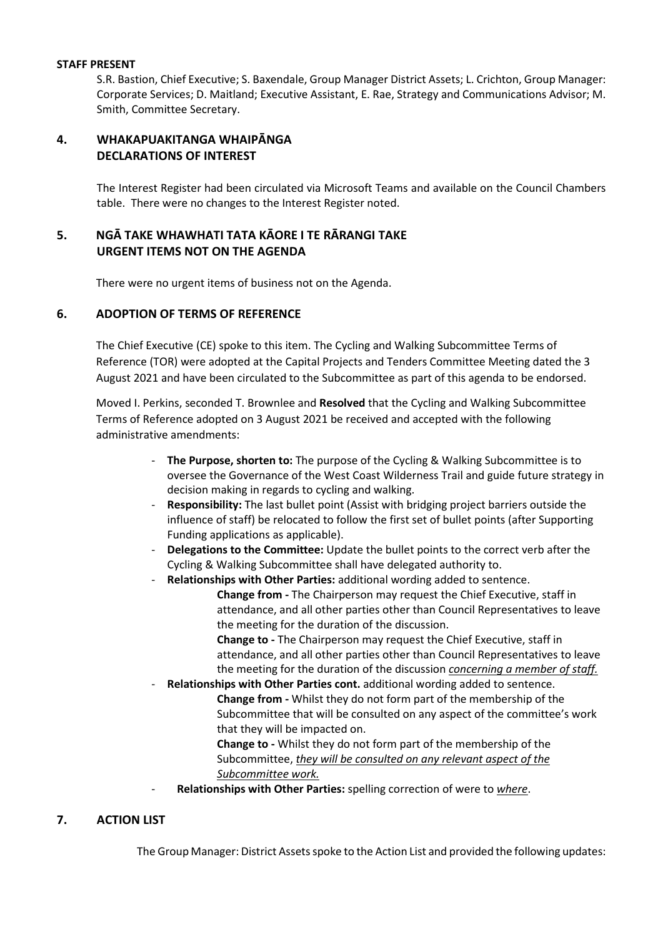#### **STAFF PRESENT**

S.R. Bastion, Chief Executive; S. Baxendale, Group Manager District Assets; L. Crichton, Group Manager: Corporate Services; D. Maitland; Executive Assistant, E. Rae, Strategy and Communications Advisor; M. Smith, Committee Secretary.

# **4. WHAKAPUAKITANGA WHAIPĀNGA DECLARATIONS OF INTEREST**

The Interest Register had been circulated via Microsoft Teams and available on the Council Chambers table. There were no changes to the Interest Register noted.

# **5. NGĀ TAKE WHAWHATI TATA KĀORE I TE RĀRANGI TAKE URGENT ITEMS NOT ON THE AGENDA**

There were no urgent items of business not on the Agenda.

# **6. ADOPTION OF TERMS OF REFERENCE**

The Chief Executive (CE) spoke to this item. The Cycling and Walking Subcommittee Terms of Reference (TOR) were adopted at the Capital Projects and Tenders Committee Meeting dated the 3 August 2021 and have been circulated to the Subcommittee as part of this agenda to be endorsed.

Moved I. Perkins, seconded T. Brownlee and **Resolved** that the Cycling and Walking Subcommittee Terms of Reference adopted on 3 August 2021 be received and accepted with the following administrative amendments:

- **The Purpose, shorten to:** The purpose of the Cycling & Walking Subcommittee is to oversee the Governance of the West Coast Wilderness Trail and guide future strategy in decision making in regards to cycling and walking.
- **Responsibility:** The last bullet point (Assist with bridging project barriers outside the influence of staff) be relocated to follow the first set of bullet points (after Supporting Funding applications as applicable).
- **Delegations to the Committee:** Update the bullet points to the correct verb after the Cycling & Walking Subcommittee shall have delegated authority to.
	- **Relationships with Other Parties:** additional wording added to sentence. **Change from -** The Chairperson may request the Chief Executive, staff in attendance, and all other parties other than Council Representatives to leave the meeting for the duration of the discussion.

**Change to -** The Chairperson may request the Chief Executive, staff in attendance, and all other parties other than Council Representatives to leave the meeting for the duration of the discussion *concerning a member of staff.*

- **Relationships with Other Parties cont.** additional wording added to sentence. **Change from -** Whilst they do not form part of the membership of the Subcommittee that will be consulted on any aspect of the committee's work that they will be impacted on.

**Change to -** Whilst they do not form part of the membership of the Subcommittee, *they will be consulted on any relevant aspect of the Subcommittee work.* 

- **Relationships with Other Parties:** spelling correction of were to *where*.

# **7. ACTION LIST**

The Group Manager: District Assets spoke to the Action List and provided the following updates: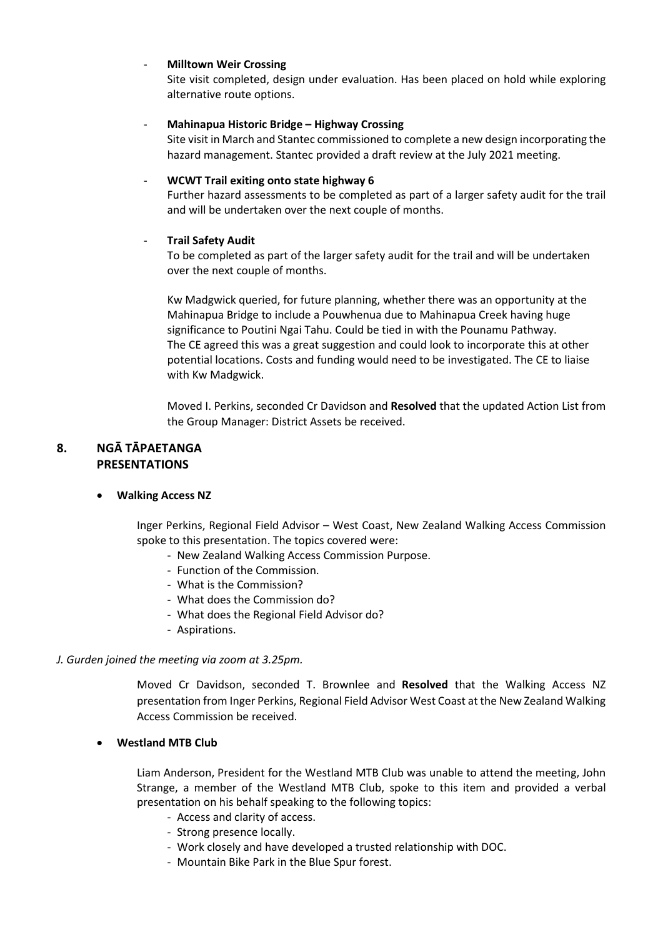### - **Milltown Weir Crossing**

Site visit completed, design under evaluation. Has been placed on hold while exploring alternative route options.

### - **Mahinapua Historic Bridge – Highway Crossing**

Site visit in March and Stantec commissioned to complete a new design incorporating the hazard management. Stantec provided a draft review at the July 2021 meeting.

### - **WCWT Trail exiting onto state highway 6**

Further hazard assessments to be completed as part of a larger safety audit for the trail and will be undertaken over the next couple of months.

# - **Trail Safety Audit**

To be completed as part of the larger safety audit for the trail and will be undertaken over the next couple of months.

Kw Madgwick queried, for future planning, whether there was an opportunity at the Mahinapua Bridge to include a Pouwhenua due to Mahinapua Creek having huge significance to Poutini Ngai Tahu. Could be tied in with the Pounamu Pathway. The CE agreed this was a great suggestion and could look to incorporate this at other potential locations. Costs and funding would need to be investigated. The CE to liaise with Kw Madgwick.

Moved I. Perkins, seconded Cr Davidson and **Resolved** that the updated Action List from the Group Manager: District Assets be received.

# **8. NGĀ TĀPAETANGA PRESENTATIONS**

# **Walking Access NZ**

Inger Perkins, Regional Field Advisor – West Coast, New Zealand Walking Access Commission spoke to this presentation. The topics covered were:

- New Zealand Walking Access Commission Purpose.
- Function of the Commission.
- What is the Commission?
- What does the Commission do?
- What does the Regional Field Advisor do?
- Aspirations.

#### *J. Gurden joined the meeting via zoom at 3.25pm.*

Moved Cr Davidson, seconded T. Brownlee and **Resolved** that the Walking Access NZ presentation from Inger Perkins, Regional Field Advisor West Coast at the New Zealand Walking Access Commission be received.

#### **Westland MTB Club**

Liam Anderson, President for the Westland MTB Club was unable to attend the meeting, John Strange, a member of the Westland MTB Club, spoke to this item and provided a verbal presentation on his behalf speaking to the following topics:

- Access and clarity of access.
- Strong presence locally.
- Work closely and have developed a trusted relationship with DOC.
- Mountain Bike Park in the Blue Spur forest.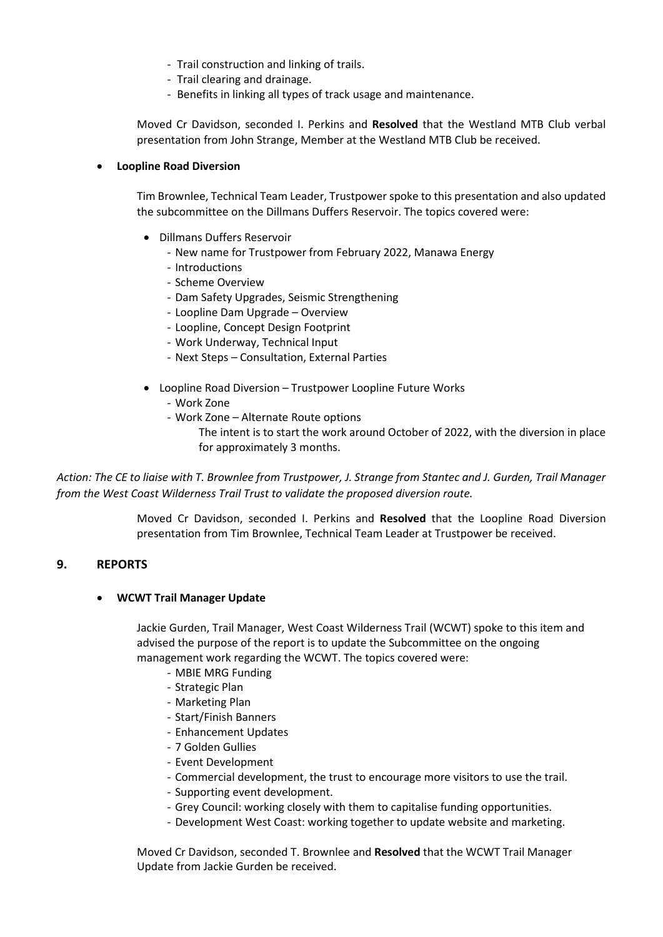- Trail construction and linking of trails.
- Trail clearing and drainage.
- Benefits in linking all types of track usage and maintenance.

Moved Cr Davidson, seconded I. Perkins and **Resolved** that the Westland MTB Club verbal presentation from John Strange, Member at the Westland MTB Club be received.

#### **Loopline Road Diversion**

Tim Brownlee, Technical Team Leader, Trustpower spoke to this presentation and also updated the subcommittee on the Dillmans Duffers Reservoir. The topics covered were:

- Dillmans Duffers Reservoir
	- New name for Trustpower from February 2022, Manawa Energy
	- Introductions
	- Scheme Overview
	- Dam Safety Upgrades, Seismic Strengthening
	- Loopline Dam Upgrade Overview
	- Loopline, Concept Design Footprint
	- Work Underway, Technical Input
	- Next Steps Consultation, External Parties
- Loopline Road Diversion Trustpower Loopline Future Works
	- Work Zone
	- Work Zone Alternate Route options
		- The intent is to start the work around October of 2022, with the diversion in place for approximately 3 months.

*Action: The CE to liaise with T. Brownlee from Trustpower, J. Strange from Stantec and J. Gurden, Trail Manager from the West Coast Wilderness Trail Trust to validate the proposed diversion route.* 

> Moved Cr Davidson, seconded I. Perkins and **Resolved** that the Loopline Road Diversion presentation from Tim Brownlee, Technical Team Leader at Trustpower be received.

#### **9. REPORTS**

#### **WCWT Trail Manager Update**

Jackie Gurden, Trail Manager, West Coast Wilderness Trail (WCWT) spoke to this item and advised the purpose of the report is to update the Subcommittee on the ongoing management work regarding the WCWT. The topics covered were:

- MBIE MRG Funding
- Strategic Plan
- Marketing Plan
- Start/Finish Banners
- Enhancement Updates
- 7 Golden Gullies
- Event Development
- Commercial development, the trust to encourage more visitors to use the trail.
- Supporting event development.
- Grey Council: working closely with them to capitalise funding opportunities.
- Development West Coast: working together to update website and marketing.

Moved Cr Davidson, seconded T. Brownlee and **Resolved** that the WCWT Trail Manager Update from Jackie Gurden be received.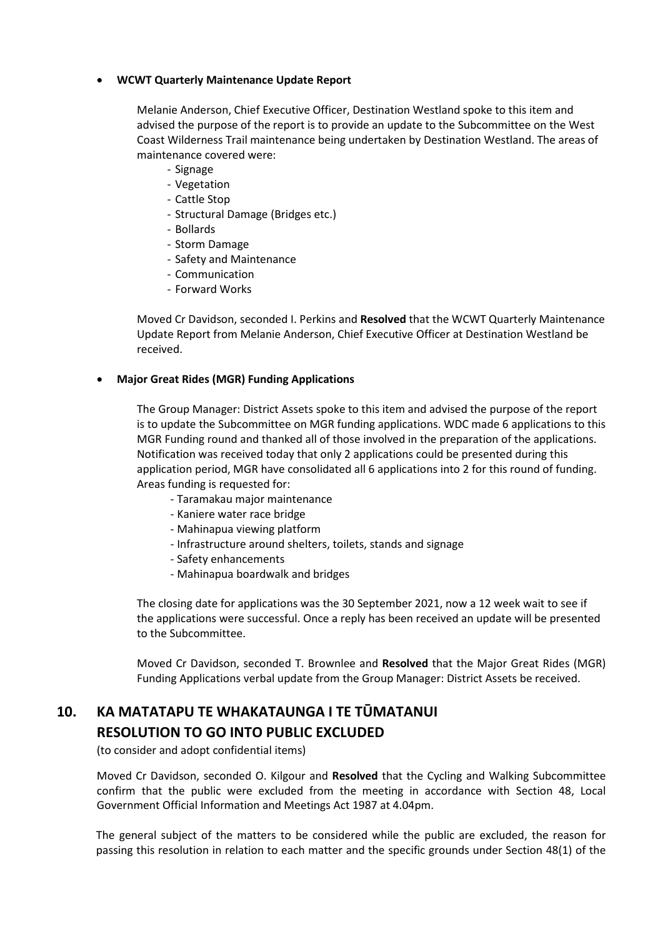#### **WCWT Quarterly Maintenance Update Report**

Melanie Anderson, Chief Executive Officer, Destination Westland spoke to this item and advised the purpose of the report is to provide an update to the Subcommittee on the West Coast Wilderness Trail maintenance being undertaken by Destination Westland. The areas of maintenance covered were:

- Signage
- Vegetation
- Cattle Stop
- Structural Damage (Bridges etc.)
- Bollards
- Storm Damage
- Safety and Maintenance
- Communication
- Forward Works

Moved Cr Davidson, seconded I. Perkins and **Resolved** that the WCWT Quarterly Maintenance Update Report from Melanie Anderson, Chief Executive Officer at Destination Westland be received.

#### **Major Great Rides (MGR) Funding Applications**

The Group Manager: District Assets spoke to this item and advised the purpose of the report is to update the Subcommittee on MGR funding applications. WDC made 6 applications to this MGR Funding round and thanked all of those involved in the preparation of the applications. Notification was received today that only 2 applications could be presented during this application period, MGR have consolidated all 6 applications into 2 for this round of funding. Areas funding is requested for:

- Taramakau major maintenance
- Kaniere water race bridge
- Mahinapua viewing platform
- Infrastructure around shelters, toilets, stands and signage
- Safety enhancements
- Mahinapua boardwalk and bridges

The closing date for applications was the 30 September 2021, now a 12 week wait to see if the applications were successful. Once a reply has been received an update will be presented to the Subcommittee.

Moved Cr Davidson, seconded T. Brownlee and **Resolved** that the Major Great Rides (MGR) Funding Applications verbal update from the Group Manager: District Assets be received.

# **10. KA MATATAPU TE WHAKATAUNGA I TE TŪMATANUI RESOLUTION TO GO INTO PUBLIC EXCLUDED**

(to consider and adopt confidential items)

 Moved Cr Davidson, seconded O. Kilgour and **Resolved** that the Cycling and Walking Subcommittee confirm that the public were excluded from the meeting in accordance with Section 48, Local Government Official Information and Meetings Act 1987 at 4.04pm.

The general subject of the matters to be considered while the public are excluded, the reason for passing this resolution in relation to each matter and the specific grounds under Section 48(1) of the